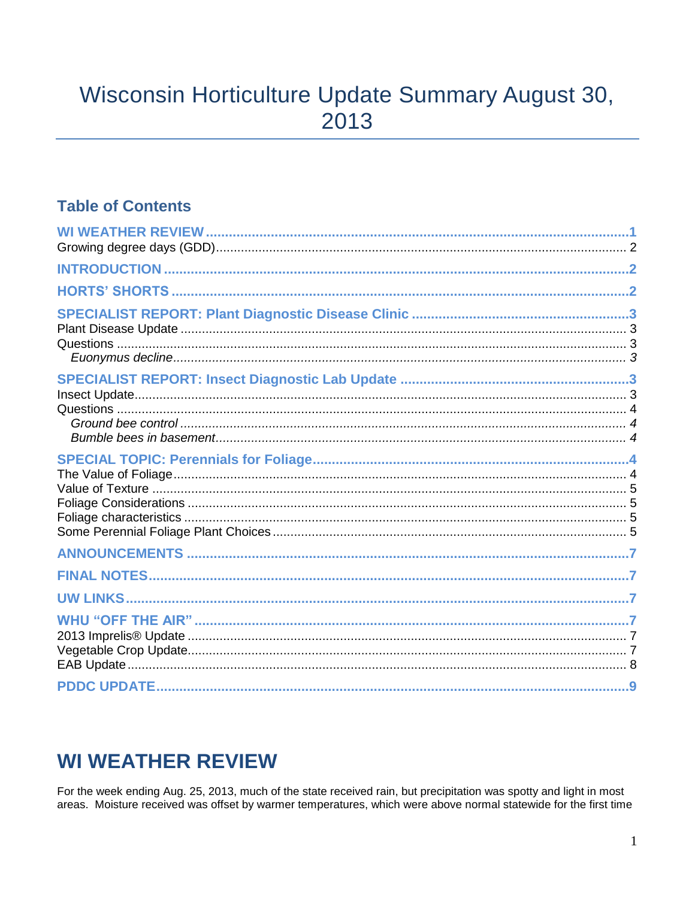# Wisconsin Horticulture Update Summary August 30, 2013

### **Table of Contents**

# **WI WEATHER REVIEW**

For the week ending Aug. 25, 2013, much of the state received rain, but precipitation was spotty and light in most areas. Moisture received was offset by warmer temperatures, which were above normal statewide for the first time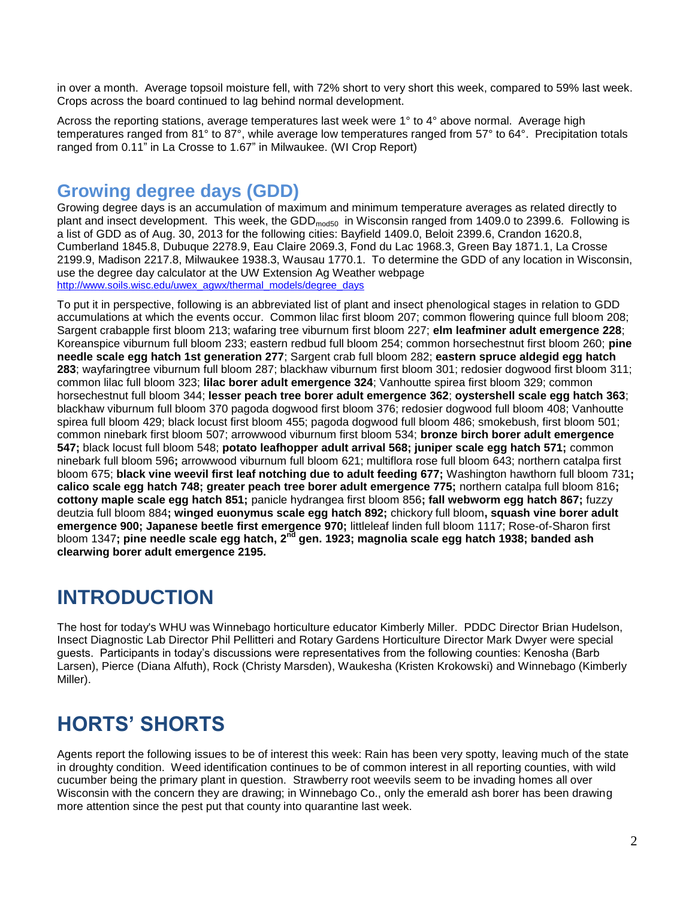in over a month. Average topsoil moisture fell, with 72% short to very short this week, compared to 59% last week. Crops across the board continued to lag behind normal development.

Across the reporting stations, average temperatures last week were 1° to 4° above normal. Average high temperatures ranged from 81° to 87°, while average low temperatures ranged from 57° to 64°. Precipitation totals ranged from 0.11" in La Crosse to 1.67" in Milwaukee. (WI Crop Report)

### **Growing degree days (GDD)**

Growing degree days is an accumulation of maximum and minimum temperature averages as related directly to plant and insect development. This week, the GDD<sub>mod50</sub> in Wisconsin ranged from 1409.0 to 2399.6. Following is a list of GDD as of Aug. 30, 2013 for the following cities: Bayfield 1409.0, Beloit 2399.6, Crandon 1620.8, Cumberland 1845.8, Dubuque 2278.9, Eau Claire 2069.3, Fond du Lac 1968.3, Green Bay 1871.1, La Crosse 2199.9, Madison 2217.8, Milwaukee 1938.3, Wausau 1770.1. To determine the GDD of any location in Wisconsin, use the degree day calculator at the UW Extension Ag Weather webpage [http://www.soils.wisc.edu/uwex\\_agwx/thermal\\_models/degree\\_days](http://www.soils.wisc.edu/uwex_agwx/thermal_models/degree_days)

To put it in perspective, following is an abbreviated list of plant and insect phenological stages in relation to GDD accumulations at which the events occur. Common lilac first bloom 207; common flowering quince full bloom 208; Sargent crabapple first bloom 213; wafaring tree viburnum first bloom 227; **elm leafminer adult emergence 228**; Koreanspice viburnum full bloom 233; eastern redbud full bloom 254; common horsechestnut first bloom 260; **pine needle scale egg hatch 1st generation 277**; Sargent crab full bloom 282; **eastern spruce aldegid egg hatch 283**; wayfaringtree viburnum full bloom 287; blackhaw viburnum first bloom 301; redosier dogwood first bloom 311; common lilac full bloom 323; **lilac borer adult emergence 324**; Vanhoutte spirea first bloom 329; common horsechestnut full bloom 344; **lesser peach tree borer adult emergence 362**; **oystershell scale egg hatch 363**; blackhaw viburnum full bloom 370 pagoda dogwood first bloom 376; redosier dogwood full bloom 408; Vanhoutte spirea full bloom 429; black locust first bloom 455; pagoda dogwood full bloom 486; smokebush, first bloom 501; common ninebark first bloom 507; arrowwood viburnum first bloom 534; **bronze birch borer adult emergence 547;** black locust full bloom 548; **potato leafhopper adult arrival 568; juniper scale egg hatch 571;** common ninebark full bloom 596**;** arrowwood viburnum full bloom 621; multiflora rose full bloom 643; northern catalpa first bloom 675; **black vine weevil first leaf notching due to adult feeding 677;** Washington hawthorn full bloom 731**; calico scale egg hatch 748; greater peach tree borer adult emergence 775;** northern catalpa full bloom 816**; cottony maple scale egg hatch 851;** panicle hydrangea first bloom 856**; fall webworm egg hatch 867;** fuzzy deutzia full bloom 884**; winged euonymus scale egg hatch 892;** chickory full bloom**, squash vine borer adult emergence 900; Japanese beetle first emergence 970;** littleleaf linden full bloom 1117; Rose-of-Sharon first bloom 1347**; pine needle scale egg hatch, 2nd gen. 1923; magnolia scale egg hatch 1938; banded ash clearwing borer adult emergence 2195.**

# **INTRODUCTION**

The host for today's WHU was Winnebago horticulture educator Kimberly Miller. PDDC Director Brian Hudelson, Insect Diagnostic Lab Director Phil Pellitteri and Rotary Gardens Horticulture Director Mark Dwyer were special guests. Participants in today's discussions were representatives from the following counties: Kenosha (Barb Larsen), Pierce (Diana Alfuth), Rock (Christy Marsden), Waukesha (Kristen Krokowski) and Winnebago (Kimberly Miller).

# **HORTS' SHORTS**

Agents report the following issues to be of interest this week: Rain has been very spotty, leaving much of the state in droughty condition. Weed identification continues to be of common interest in all reporting counties, with wild cucumber being the primary plant in question. Strawberry root weevils seem to be invading homes all over Wisconsin with the concern they are drawing; in Winnebago Co., only the emerald ash borer has been drawing more attention since the pest put that county into quarantine last week.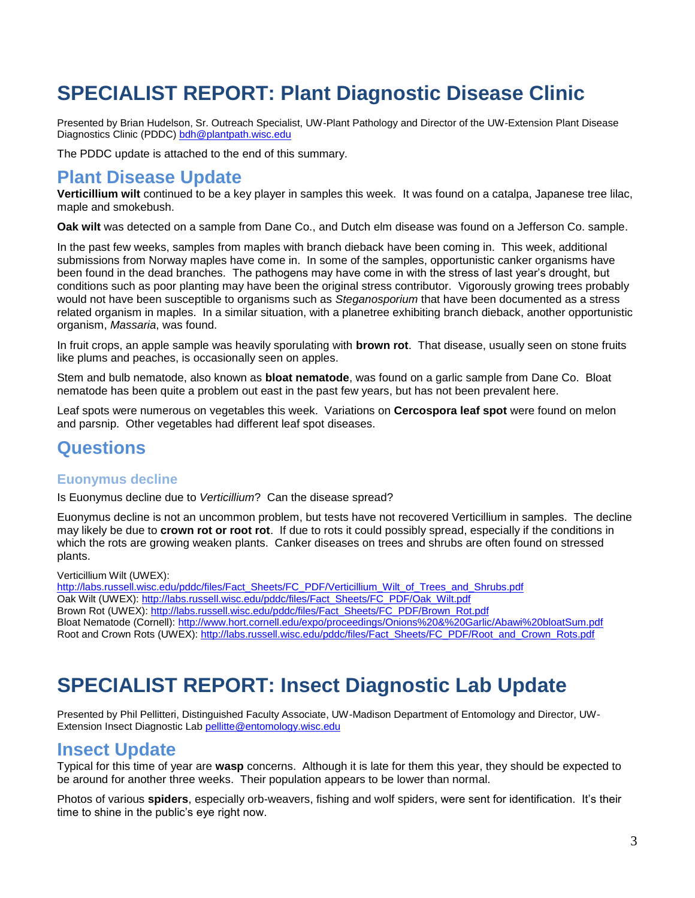# **SPECIALIST REPORT: Plant Diagnostic Disease Clinic**

Presented by Brian Hudelson, Sr. Outreach Specialist, UW-Plant Pathology and Director of the UW-Extension Plant Disease Diagnostics Clinic (PDDC) [bdh@plantpath.wisc.edu](mailto:bdh@plantpath.wisc.edu)

The PDDC update is attached to the end of this summary.

#### **Plant Disease Update**

**Verticillium wilt** continued to be a key player in samples this week. It was found on a catalpa, Japanese tree lilac, maple and smokebush.

**Oak wilt** was detected on a sample from Dane Co., and Dutch elm disease was found on a Jefferson Co. sample.

In the past few weeks, samples from maples with branch dieback have been coming in. This week, additional submissions from Norway maples have come in. In some of the samples, opportunistic canker organisms have been found in the dead branches. The pathogens may have come in with the stress of last year's drought, but conditions such as poor planting may have been the original stress contributor. Vigorously growing trees probably would not have been susceptible to organisms such as *Steganosporium* that have been documented as a stress related organism in maples. In a similar situation, with a planetree exhibiting branch dieback, another opportunistic organism, *Massaria*, was found.

In fruit crops, an apple sample was heavily sporulating with **brown rot**. That disease, usually seen on stone fruits like plums and peaches, is occasionally seen on apples.

Stem and bulb nematode, also known as **bloat nematode**, was found on a garlic sample from Dane Co. Bloat nematode has been quite a problem out east in the past few years, but has not been prevalent here.

Leaf spots were numerous on vegetables this week. Variations on **Cercospora leaf spot** were found on melon and parsnip. Other vegetables had different leaf spot diseases.

### **Questions**

#### **Euonymus decline**

Is Euonymus decline due to *Verticillium*? Can the disease spread?

Euonymus decline is not an uncommon problem, but tests have not recovered Verticillium in samples. The decline may likely be due to **crown rot or root rot**. If due to rots it could possibly spread, especially if the conditions in which the rots are growing weaken plants. Canker diseases on trees and shrubs are often found on stressed plants.

Verticillium Wilt (UWEX):

[http://labs.russell.wisc.edu/pddc/files/Fact\\_Sheets/FC\\_PDF/Verticillium\\_Wilt\\_of\\_Trees\\_and\\_Shrubs.pdf](http://labs.russell.wisc.edu/pddc/files/Fact_Sheets/FC_PDF/Verticillium_Wilt_of_Trees_and_Shrubs.pdf) Oak Wilt (UWEX): [http://labs.russell.wisc.edu/pddc/files/Fact\\_Sheets/FC\\_PDF/Oak\\_Wilt.pdf](http://labs.russell.wisc.edu/pddc/files/Fact_Sheets/FC_PDF/Oak_Wilt.pdf) Brown Rot (UWEX): [http://labs.russell.wisc.edu/pddc/files/Fact\\_Sheets/FC\\_PDF/Brown\\_Rot.pdf](http://labs.russell.wisc.edu/pddc/files/Fact_Sheets/FC_PDF/Brown_Rot.pdf) Bloat Nematode (Cornell):<http://www.hort.cornell.edu/expo/proceedings/Onions%20&%20Garlic/Abawi%20bloatSum.pdf> Root and Crown Rots (UWEX): [http://labs.russell.wisc.edu/pddc/files/Fact\\_Sheets/FC\\_PDF/Root\\_and\\_Crown\\_Rots.pdf](http://labs.russell.wisc.edu/pddc/files/Fact_Sheets/FC_PDF/Root_and_Crown_Rots.pdf)

### **SPECIALIST REPORT: Insect Diagnostic Lab Update**

Presented by Phil Pellitteri, Distinguished Faculty Associate, UW-Madison Department of Entomology and Director, UW-Extension Insect Diagnostic Lab [pellitte@entomology.wisc.edu](mailto:pellitte@entomology.wisc.edu)

### **Insect Update**

Typical for this time of year are **wasp** concerns. Although it is late for them this year, they should be expected to be around for another three weeks. Their population appears to be lower than normal.

Photos of various **spiders**, especially orb-weavers, fishing and wolf spiders, were sent for identification. It's their time to shine in the public's eye right now.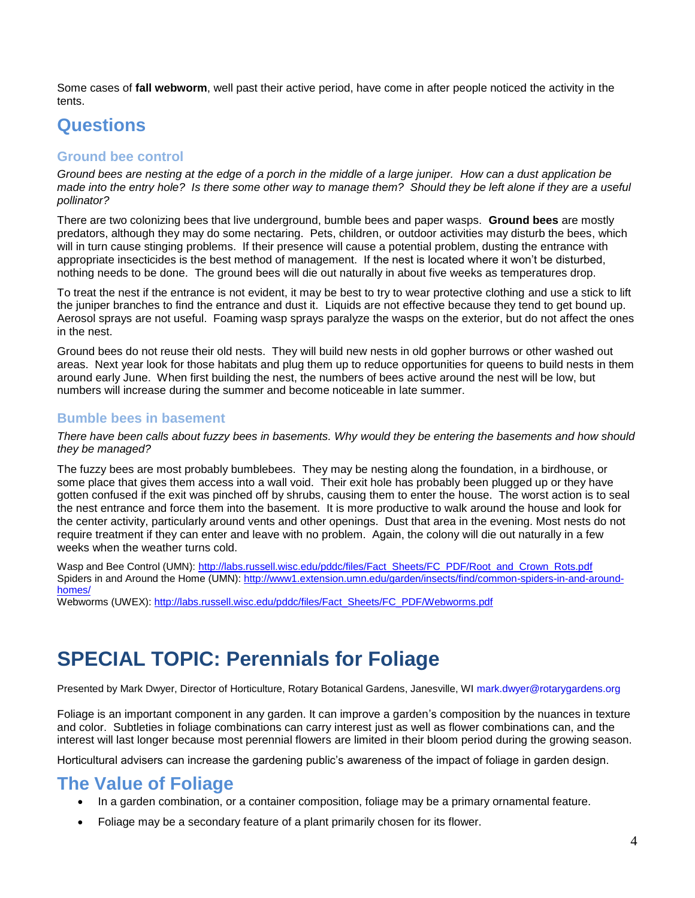Some cases of **fall webworm**, well past their active period, have come in after people noticed the activity in the tents.

### **Questions**

#### **Ground bee control**

*Ground bees are nesting at the edge of a porch in the middle of a large juniper. How can a dust application be made into the entry hole? Is there some other way to manage them? Should they be left alone if they are a useful pollinator?* 

There are two colonizing bees that live underground, bumble bees and paper wasps. **Ground bees** are mostly predators, although they may do some nectaring. Pets, children, or outdoor activities may disturb the bees, which will in turn cause stinging problems. If their presence will cause a potential problem, dusting the entrance with appropriate insecticides is the best method of management. If the nest is located where it won't be disturbed, nothing needs to be done. The ground bees will die out naturally in about five weeks as temperatures drop.

To treat the nest if the entrance is not evident, it may be best to try to wear protective clothing and use a stick to lift the juniper branches to find the entrance and dust it. Liquids are not effective because they tend to get bound up. Aerosol sprays are not useful. Foaming wasp sprays paralyze the wasps on the exterior, but do not affect the ones in the nest.

Ground bees do not reuse their old nests. They will build new nests in old gopher burrows or other washed out areas. Next year look for those habitats and plug them up to reduce opportunities for queens to build nests in them around early June. When first building the nest, the numbers of bees active around the nest will be low, but numbers will increase during the summer and become noticeable in late summer.

#### **Bumble bees in basement**

#### *There have been calls about fuzzy bees in basements. Why would they be entering the basements and how should they be managed?*

The fuzzy bees are most probably bumblebees. They may be nesting along the foundation, in a birdhouse, or some place that gives them access into a wall void. Their exit hole has probably been plugged up or they have gotten confused if the exit was pinched off by shrubs, causing them to enter the house. The worst action is to seal the nest entrance and force them into the basement. It is more productive to walk around the house and look for the center activity, particularly around vents and other openings. Dust that area in the evening. Most nests do not require treatment if they can enter and leave with no problem. Again, the colony will die out naturally in a few weeks when the weather turns cold.

Wasp and Bee Control (UMN): [http://labs.russell.wisc.edu/pddc/files/Fact\\_Sheets/FC\\_PDF/Root\\_and\\_Crown\\_Rots.pdf](http://labs.russell.wisc.edu/pddc/files/Fact_Sheets/FC_PDF/Root_and_Crown_Rots.pdf) Spiders in and Around the Home (UMN): [http://www1.extension.umn.edu/garden/insects/find/common-spiders-in-and-around](http://www1.extension.umn.edu/garden/insects/find/common-spiders-in-and-around-homes/)[homes/](http://www1.extension.umn.edu/garden/insects/find/common-spiders-in-and-around-homes/)

Webworms (UWEX): [http://labs.russell.wisc.edu/pddc/files/Fact\\_Sheets/FC\\_PDF/Webworms.pdf](http://labs.russell.wisc.edu/pddc/files/Fact_Sheets/FC_PDF/Webworms.pdf)

# **SPECIAL TOPIC: Perennials for Foliage**

Presented by Mark Dwyer, Director of Horticulture, Rotary Botanical Gardens, Janesville, WI mark.dwyer@rotarygardens.org

Foliage is an important component in any garden. It can improve a garden's composition by the nuances in texture and color. Subtleties in foliage combinations can carry interest just as well as flower combinations can, and the interest will last longer because most perennial flowers are limited in their bloom period during the growing season.

Horticultural advisers can increase the gardening public's awareness of the impact of foliage in garden design.

### **The Value of Foliage**

- In a garden combination, or a container composition, foliage may be a primary ornamental feature.
- Foliage may be a secondary feature of a plant primarily chosen for its flower.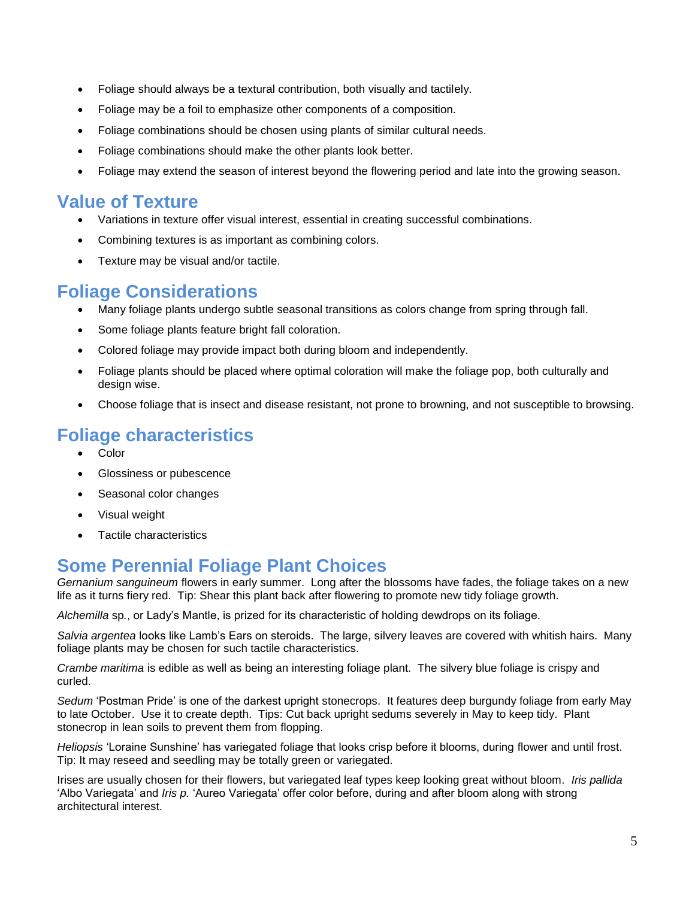- Foliage should always be a textural contribution, both visually and tactilely.
- Foliage may be a foil to emphasize other components of a composition.
- Foliage combinations should be chosen using plants of similar cultural needs.
- Foliage combinations should make the other plants look better.
- Foliage may extend the season of interest beyond the flowering period and late into the growing season.

### **Value of Texture**

- Variations in texture offer visual interest, essential in creating successful combinations.
- Combining textures is as important as combining colors.
- Texture may be visual and/or tactile.

### **Foliage Considerations**

- Many foliage plants undergo subtle seasonal transitions as colors change from spring through fall.
- Some foliage plants feature bright fall coloration.
- Colored foliage may provide impact both during bloom and independently.
- Foliage plants should be placed where optimal coloration will make the foliage pop, both culturally and design wise.
- Choose foliage that is insect and disease resistant, not prone to browning, and not susceptible to browsing.

### **Foliage characteristics**

- Color
- Glossiness or pubescence
- Seasonal color changes
- Visual weight
- Tactile characteristics

### **Some Perennial Foliage Plant Choices**

*Gernanium sanguineum* flowers in early summer. Long after the blossoms have fades, the foliage takes on a new life as it turns fiery red. Tip: Shear this plant back after flowering to promote new tidy foliage growth.

*Alchemilla* sp*.*, or Lady's Mantle, is prized for its characteristic of holding dewdrops on its foliage.

*Salvia argentea* looks like Lamb's Ears on steroids. The large, silvery leaves are covered with whitish hairs. Many foliage plants may be chosen for such tactile characteristics.

*Crambe maritima* is edible as well as being an interesting foliage plant. The silvery blue foliage is crispy and curled.

*Sedum* 'Postman Pride' is one of the darkest upright stonecrops. It features deep burgundy foliage from early May to late October. Use it to create depth. Tips: Cut back upright sedums severely in May to keep tidy. Plant stonecrop in lean soils to prevent them from flopping.

*Heliopsis* 'Loraine Sunshine' has variegated foliage that looks crisp before it blooms, during flower and until frost. Tip: It may reseed and seedling may be totally green or variegated.

Irises are usually chosen for their flowers, but variegated leaf types keep looking great without bloom. *Iris pallida* 'Albo Variegata' and *Iris p.* 'Aureo Variegata' offer color before, during and after bloom along with strong architectural interest.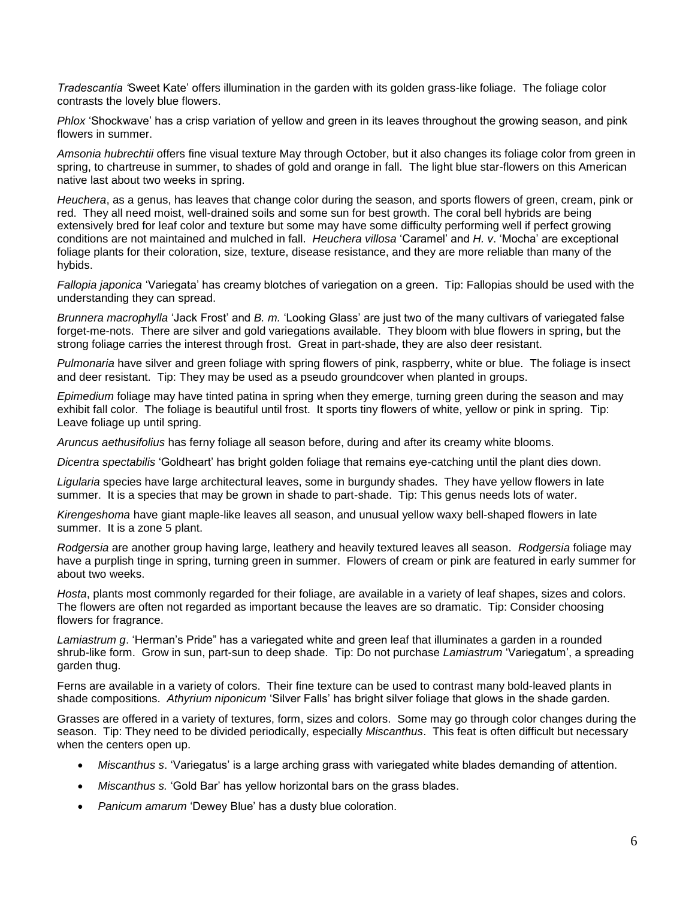*Tradescantia '*Sweet Kate' offers illumination in the garden with its golden grass-like foliage. The foliage color contrasts the lovely blue flowers.

*Phlox* 'Shockwave' has a crisp variation of yellow and green in its leaves throughout the growing season, and pink flowers in summer.

*Amsonia hubrechtii* offers fine visual texture May through October, but it also changes its foliage color from green in spring, to chartreuse in summer, to shades of gold and orange in fall. The light blue star-flowers on this American native last about two weeks in spring.

*Heuchera*, as a genus, has leaves that change color during the season, and sports flowers of green, cream, pink or red. They all need moist, well-drained soils and some sun for best growth. The coral bell hybrids are being extensively bred for leaf color and texture but some may have some difficulty performing well if perfect growing conditions are not maintained and mulched in fall. *Heuchera villosa* 'Caramel' and *H. v*. 'Mocha' are exceptional foliage plants for their coloration, size, texture, disease resistance, and they are more reliable than many of the hybids.

*Fallopia japonica* 'Variegata' has creamy blotches of variegation on a green. Tip: Fallopias should be used with the understanding they can spread.

*Brunnera macrophylla* 'Jack Frost' and *B. m.* 'Looking Glass' are just two of the many cultivars of variegated false forget-me-nots. There are silver and gold variegations available. They bloom with blue flowers in spring, but the strong foliage carries the interest through frost. Great in part-shade, they are also deer resistant.

*Pulmonaria* have silver and green foliage with spring flowers of pink, raspberry, white or blue. The foliage is insect and deer resistant. Tip: They may be used as a pseudo groundcover when planted in groups.

*Epimedium* foliage may have tinted patina in spring when they emerge, turning green during the season and may exhibit fall color. The foliage is beautiful until frost. It sports tiny flowers of white, yellow or pink in spring. Tip: Leave foliage up until spring.

*Aruncus aethusifolius* has ferny foliage all season before, during and after its creamy white blooms.

*Dicentra spectabilis* 'Goldheart' has bright golden foliage that remains eye-catching until the plant dies down.

*Ligularia* species have large architectural leaves, some in burgundy shades. They have yellow flowers in late summer. It is a species that may be grown in shade to part-shade. Tip: This genus needs lots of water.

*Kirengeshoma* have giant maple-like leaves all season, and unusual yellow waxy bell-shaped flowers in late summer. It is a zone 5 plant.

*Rodgersia* are another group having large, leathery and heavily textured leaves all season. *Rodgersia* foliage may have a purplish tinge in spring, turning green in summer. Flowers of cream or pink are featured in early summer for about two weeks.

*Hosta*, plants most commonly regarded for their foliage, are available in a variety of leaf shapes, sizes and colors. The flowers are often not regarded as important because the leaves are so dramatic. Tip: Consider choosing flowers for fragrance.

*Lamiastrum g*. 'Herman's Pride" has a variegated white and green leaf that illuminates a garden in a rounded shrub-like form. Grow in sun, part-sun to deep shade. Tip: Do not purchase *Lamiastrum* 'Variegatum', a spreading garden thug.

Ferns are available in a variety of colors. Their fine texture can be used to contrast many bold-leaved plants in shade compositions. *Athyrium niponicum* 'Silver Falls' has bright silver foliage that glows in the shade garden.

Grasses are offered in a variety of textures, form, sizes and colors. Some may go through color changes during the season. Tip: They need to be divided periodically, especially *Miscanthus*. This feat is often difficult but necessary when the centers open up.

- *Miscanthus s*. 'Variegatus' is a large arching grass with variegated white blades demanding of attention.
- *Miscanthus s.* 'Gold Bar' has yellow horizontal bars on the grass blades.
- *Panicum amarum* 'Dewey Blue' has a dusty blue coloration.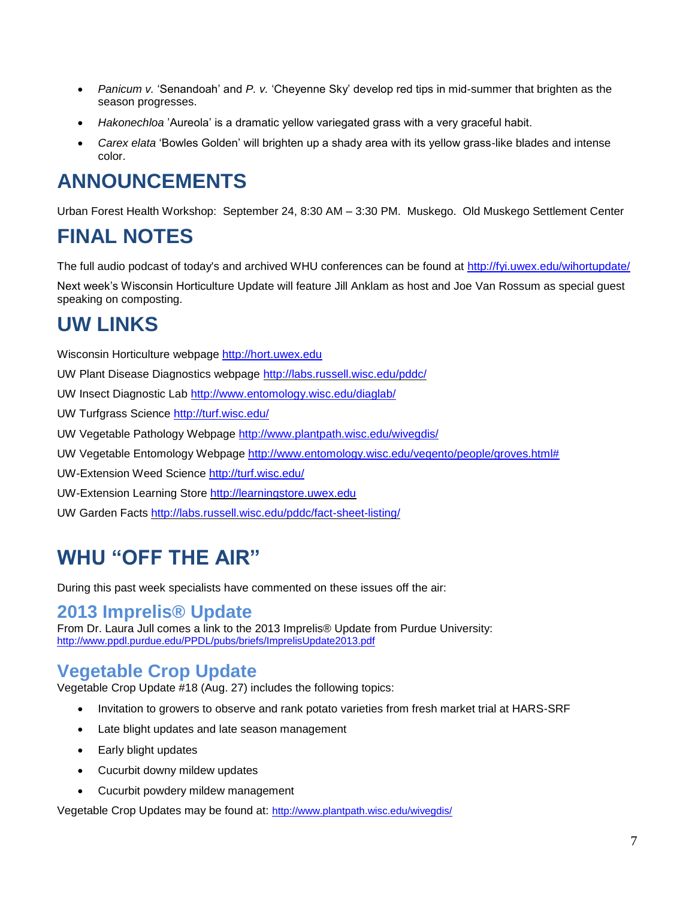- *Panicum v.* 'Senandoah' and *P. v.* 'Cheyenne Sky' develop red tips in mid-summer that brighten as the season progresses.
- *Hakonechloa* 'Aureola' is a dramatic yellow variegated grass with a very graceful habit.
- *Carex elata* 'Bowles Golden' will brighten up a shady area with its yellow grass-like blades and intense color.

# **ANNOUNCEMENTS**

Urban Forest Health Workshop: September 24, 8:30 AM – 3:30 PM. Muskego. Old Muskego Settlement Center

# **FINAL NOTES**

The full audio podcast of today's and archived WHU conferences can be found at<http://fyi.uwex.edu/wihortupdate/>

Next week's Wisconsin Horticulture Update will feature Jill Anklam as host and Joe Van Rossum as special guest speaking on composting.

# **UW LINKS**

Wisconsin Horticulture webpage [http://hort.uwex.edu](http://hort.uwex.edu/)

UW Plant Disease Diagnostics webpage<http://labs.russell.wisc.edu/pddc/>

UW Insect Diagnostic Lab<http://www.entomology.wisc.edu/diaglab/>

UW Turfgrass Science<http://turf.wisc.edu/>

UW Vegetable Pathology Webpage<http://www.plantpath.wisc.edu/wivegdis/>

UW Vegetable Entomology Webpage [http://www.entomology.wisc.edu/vegento/people/groves.html#](http://www.entomology.wisc.edu/vegento/people/groves.html%23)

UW-Extension Weed Science<http://turf.wisc.edu/>

UW-Extension Learning Store [http://learningstore.uwex.edu](http://learningstore.uwex.edu/)

UW Garden Facts<http://labs.russell.wisc.edu/pddc/fact-sheet-listing/>

# **WHU "OFF THE AIR"**

During this past week specialists have commented on these issues off the air:

#### **2013 Imprelis® Update**

From Dr. Laura Jull comes a link to the 2013 Imprelis® Update from Purdue University: http://www.ppdl.purdue.edu/PPDL/pubs/briefs/ImprelisUpdate2013.pdf

### **Vegetable Crop Update**

Vegetable Crop Update #18 (Aug. 27) includes the following topics:

- Invitation to growers to observe and rank potato varieties from fresh market trial at HARS-SRF
- Late blight updates and late season management
- Early blight updates
- Cucurbit downy mildew updates
- Cucurbit powdery mildew management

Vegetable Crop Updates may be found at: <http://www.plantpath.wisc.edu/wivegdis/>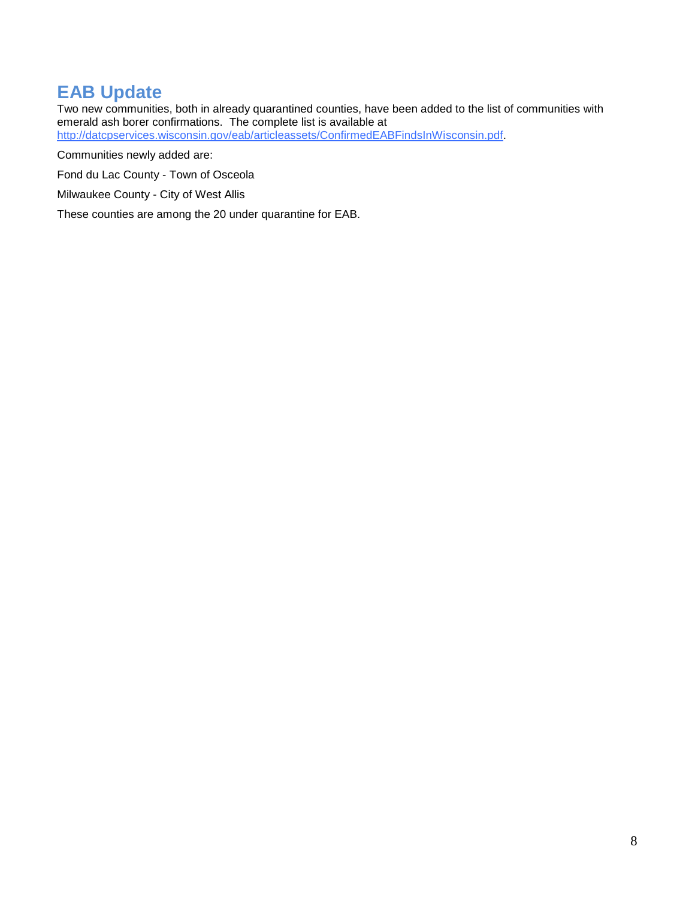### **EAB Update**

Two new communities, both in already quarantined counties, have been added to the list of communities with emerald ash borer confirmations. The complete list is available at [http://datcpservices.wisconsin.gov/eab/articleassets/ConfirmedEABFindsInWisconsin.pdf.](http://links.govdelivery.com/track?type=click&enid=ZWFzPTEmbWFpbGluZ2lkPTIwMTMwODMwLjIyNDUwMDcxJm1lc3NhZ2VpZD1NREItUFJELUJVTC0yMDEzMDgzMC4yMjQ1MDA3MSZkYXRhYmFzZWlkPTEwMDEmc2VyaWFsPTE3NzUyOTI3JmVtYWlsaWQ9Q290dGFnZXJAd2kucnIuY29tJnVzZXJpZD1Db3R0YWdlckB3aS5yci5jb20mZmw9JmV4dHJhPU11bHRpdmFyaWF0ZUlkPSYmJg==&&&101&&&http://datcpservices.wisconsin.gov/eab/articleassets/ConfirmedEABFindsInWisconsin.pdf)

Communities newly added are:

Fond du Lac County - Town of Osceola

Milwaukee County - City of West Allis

These counties are among the 20 under quarantine for EAB.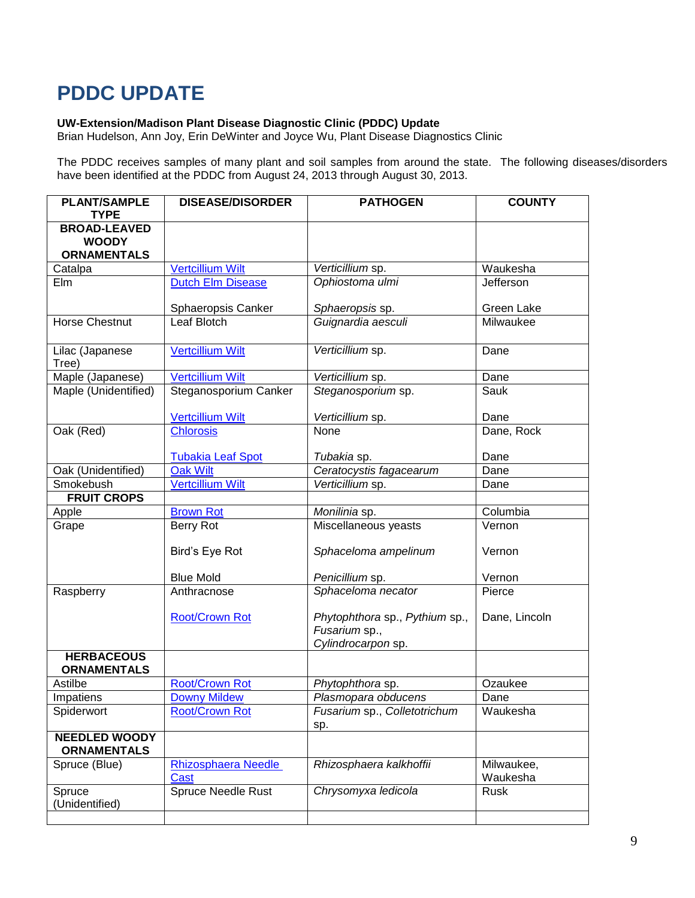# **PDDC UPDATE**

#### **UW-Extension/Madison Plant Disease Diagnostic Clinic (PDDC) Update**

Brian Hudelson, Ann Joy, Erin DeWinter and Joyce Wu, Plant Disease Diagnostics Clinic

The PDDC receives samples of many plant and soil samples from around the state. The following diseases/disorders have been identified at the PDDC from August 24, 2013 through August 30, 2013.

| <b>PLANT/SAMPLE</b><br><b>TYPE</b>                        | <b>DISEASE/DISORDER</b>   | <b>PATHOGEN</b>                                                       | <b>COUNTY</b> |
|-----------------------------------------------------------|---------------------------|-----------------------------------------------------------------------|---------------|
| <b>BROAD-LEAVED</b><br><b>WOODY</b><br><b>ORNAMENTALS</b> |                           |                                                                       |               |
| Catalpa                                                   | <b>Vertcillium Wilt</b>   | Verticillium sp.                                                      | Waukesha      |
| Elm                                                       | <b>Dutch Elm Disease</b>  | Ophiostoma ulmi                                                       | Jefferson     |
|                                                           | Sphaeropsis Canker        | Sphaeropsis sp.                                                       | Green Lake    |
| <b>Horse Chestnut</b>                                     | Leaf Blotch               | Guignardia aesculi                                                    | Milwaukee     |
| Lilac (Japanese<br>Tree)                                  | <b>Vertcillium Wilt</b>   | Verticillium sp.                                                      | Dane          |
| Maple (Japanese)                                          | <b>Vertcillium Wilt</b>   | Verticillium sp.                                                      | Dane          |
| Maple (Unidentified)                                      | Steganosporium Canker     | Steganosporium sp.                                                    | Sauk          |
|                                                           | <b>Vertcillium Wilt</b>   | Verticillium sp.                                                      | Dane          |
| Oak (Red)                                                 | <b>Chlorosis</b>          | None                                                                  | Dane, Rock    |
|                                                           | <b>Tubakia Leaf Spot</b>  | Tubakia sp.                                                           | Dane          |
| Oak (Unidentified)                                        | <b>Oak Wilt</b>           | Ceratocystis fagacearum                                               | Dane          |
| Smokebush                                                 | <b>Vertcillium Wilt</b>   | Verticillium sp.                                                      | Dane          |
| <b>FRUIT CROPS</b>                                        |                           |                                                                       |               |
| Apple                                                     | <b>Brown Rot</b>          | Monilinia sp.                                                         | Columbia      |
| Grape                                                     | Berry Rot                 | Miscellaneous yeasts                                                  | Vernon        |
|                                                           | Bird's Eye Rot            | Sphaceloma ampelinum                                                  | Vernon        |
|                                                           | <b>Blue Mold</b>          | Penicillium sp.                                                       | Vernon        |
| Raspberry                                                 | Anthracnose               | Sphaceloma necator                                                    | Pierce        |
|                                                           | <b>Root/Crown Rot</b>     | Phytophthora sp., Pythium sp.,<br>Fusarium sp.,<br>Cylindrocarpon sp. | Dane, Lincoln |
| <b>HERBACEOUS</b>                                         |                           |                                                                       |               |
| <b>ORNAMENTALS</b>                                        |                           |                                                                       |               |
| Astilbe                                                   | <b>Root/Crown Rot</b>     | Phytophthora sp.                                                      | Ozaukee       |
| Impatiens                                                 | <b>Downy Mildew</b>       | Plasmopara obducens                                                   | Dane          |
| Spiderwort                                                | <b>Root/Crown Rot</b>     | Fusarium sp., Colletotrichum<br>sp.                                   | Waukesha      |
| <b>NEEDLED WOODY</b><br><b>ORNAMENTALS</b>                |                           |                                                                       |               |
| Spruce (Blue)                                             | Rhizosphaera Needle       | Rhizosphaera kalkhoffii                                               | Milwaukee,    |
|                                                           | Cast                      |                                                                       | Waukesha      |
| Spruce<br>(Unidentified)                                  | <b>Spruce Needle Rust</b> | Chrysomyxa ledicola                                                   | Rusk          |
|                                                           |                           |                                                                       |               |